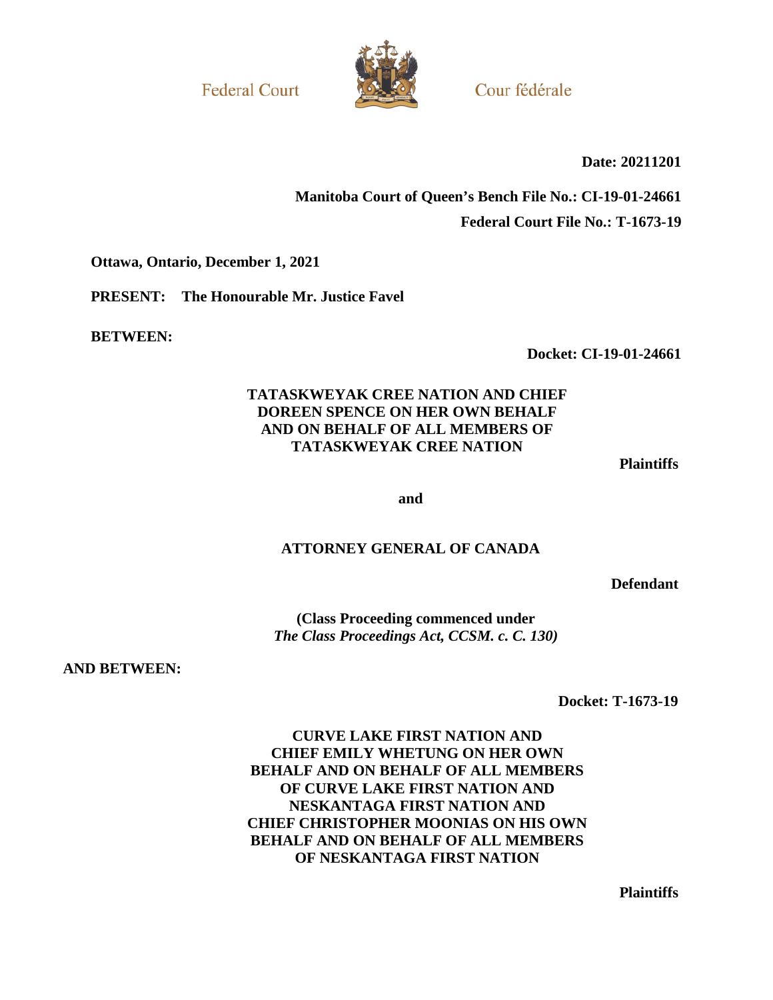**Federal Court** 



Cour fédérale

**Date: 20211201** 

# **Manitoba Court of Queen's Bench File No.: CI-19-01-24661 Federal Court File No.: T-1673-19**

**Ottawa, Ontario, December 1, 2021** 

**PRESENT: The Honourable Mr. Justice Favel** 

**BETWEEN:** 

**Docket: CI-19-01-24661** 

# **TATASKWEYAK CREE NATION AND CHIEF DOREEN SPENCE ON HER OWN BEHALF AND ON BEHALF OF ALL MEMBERS OF TATASKWEYAK CREE NATION**

**Plaintiffs**

**and** 

#### **ATTORNEY GENERAL OF CANADA**

**Defendant**

**(Class Proceeding commenced under**  *The Class Proceedings Act, CCSM. c. C. 130)* 

**AND BETWEEN:** 

**Docket: T-1673-19**

**CURVE LAKE FIRST NATION AND CHIEF EMILY WHETUNG ON HER OWN BEHALF AND ON BEHALF OF ALL MEMBERS OF CURVE LAKE FIRST NATION AND NESKANTAGA FIRST NATION AND CHIEF CHRISTOPHER MOONIAS ON HIS OWN BEHALF AND ON BEHALF OF ALL MEMBERS OF NESKANTAGA FIRST NATION** 

**Plaintiffs**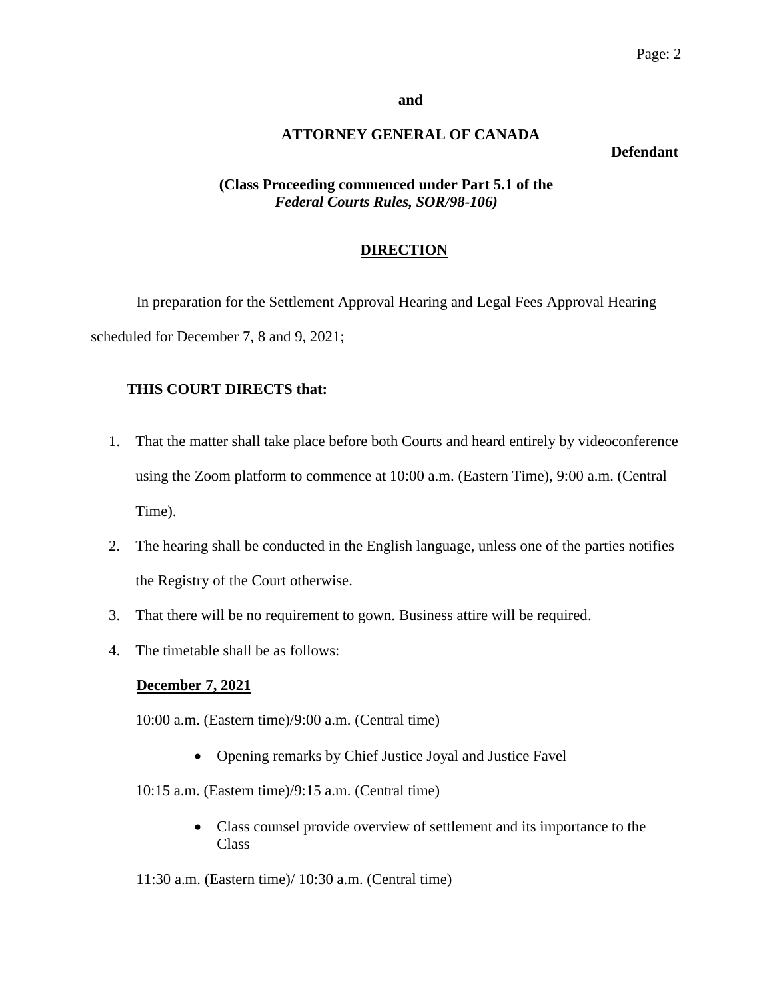#### **and**

# **ATTORNEY GENERAL OF CANADA**

#### **Defendant**

## **(Class Proceeding commenced under Part 5.1 of the** *Federal Courts Rules, SOR/98-106)*

## **DIRECTION**

In preparation for the Settlement Approval Hearing and Legal Fees Approval Hearing scheduled for December 7, 8 and 9, 2021;

## **THIS COURT DIRECTS that:**

- 1. That the matter shall take place before both Courts and heard entirely by videoconference using the Zoom platform to commence at 10:00 a.m. (Eastern Time), 9:00 a.m. (Central Time).
- 2. The hearing shall be conducted in the English language, unless one of the parties notifies the Registry of the Court otherwise.
- 3. That there will be no requirement to gown. Business attire will be required.
- 4. The timetable shall be as follows:

#### **December 7, 2021**

10:00 a.m. (Eastern time)/9:00 a.m. (Central time)

- Opening remarks by Chief Justice Joyal and Justice Favel
- 10:15 a.m. (Eastern time)/9:15 a.m. (Central time)
	- Class counsel provide overview of settlement and its importance to the Class
- 11:30 a.m. (Eastern time)/ 10:30 a.m. (Central time)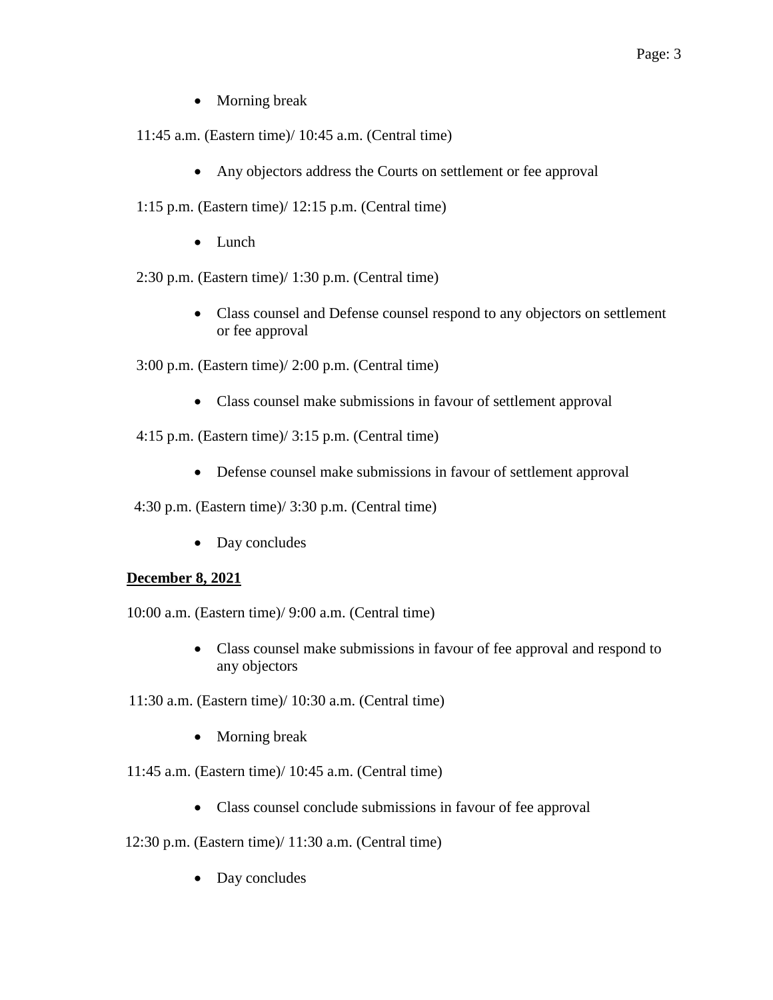- Morning break
- 11:45 a.m. (Eastern time)/ 10:45 a.m. (Central time)
	- Any objectors address the Courts on settlement or fee approval
- 1:15 p.m. (Eastern time)/ 12:15 p.m. (Central time)
	- Lunch

2:30 p.m. (Eastern time)/ 1:30 p.m. (Central time)

 Class counsel and Defense counsel respond to any objectors on settlement or fee approval

3:00 p.m. (Eastern time)/ 2:00 p.m. (Central time)

- Class counsel make submissions in favour of settlement approval
- 4:15 p.m. (Eastern time)/ 3:15 p.m. (Central time)
	- Defense counsel make submissions in favour of settlement approval

4:30 p.m. (Eastern time)/ 3:30 p.m. (Central time)

• Day concludes

#### **December 8, 2021**

10:00 a.m. (Eastern time)/ 9:00 a.m. (Central time)

- Class counsel make submissions in favour of fee approval and respond to any objectors
- 11:30 a.m. (Eastern time)/ 10:30 a.m. (Central time)
	- Morning break

11:45 a.m. (Eastern time)/ 10:45 a.m. (Central time)

- Class counsel conclude submissions in favour of fee approval
- 12:30 p.m. (Eastern time)/ 11:30 a.m. (Central time)
	- Day concludes